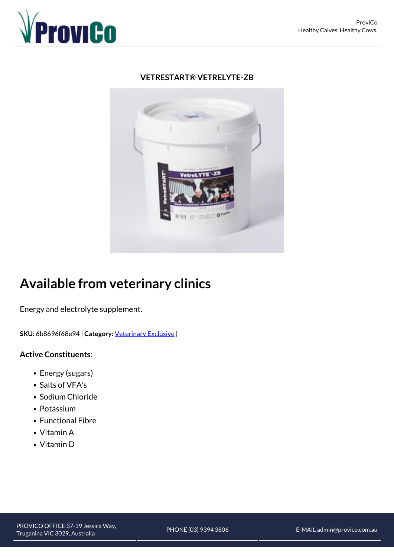

## **VETRESTART® VETRELYTE-ZB**



## **Available from veterinary clinics**

Energy and electrolyte supplement.

**SKU:** 6b8696f68e94 | **Category:** [Veterinary Exclusive](https://www.provicorural.com.au/range/veterinary-exclusive/) |

## **Active Constituents**:

- Energy (sugars)
- Salts of VFA's
- Sodium Chloride
- Potassium
- Functional Fibre
- Vitamin A
- Vitamin D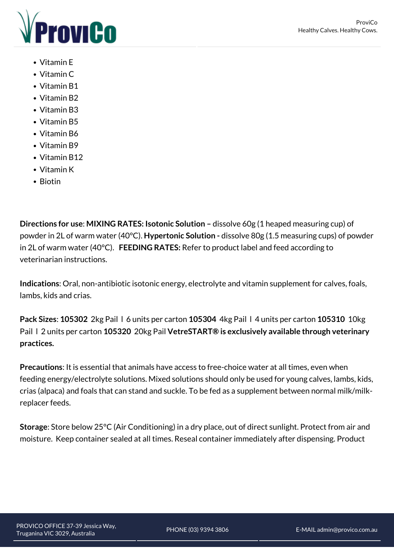

- Vitamin E
- Vitamin C
- Vitamin B1
- Vitamin B2
- Vitamin B3
- Vitamin B5
- Vitamin B6
- Vitamin B9
- Vitamin B12
- Vitamin K
- $\bullet$  Biotin

**Directions for use**: **MIXING RATES: Isotonic Solution –** dissolve 60g (1 heaped measuring cup) of powder in 2L of warm water (40°C). **Hypertonic Solution -** dissolve 80g (1.5 measuring cups) of powder in 2L of warm water (40°C). **FEEDING RATES:** Refer to product label and feed according to veterinarian instructions.

**Indications**: Oral, non-antibiotic isotonic energy, electrolyte and vitamin supplement for calves, foals, lambs, kids and crias.

**Pack Sizes**: **105302** 2kg Pail l 6 units per carton **105304** 4kg Pail l 4 units per carton **105310** 10kg Pail l 2 units per carton **105320** 20kg Pail **VetreSTART® is exclusively available through veterinary practices.** 

**Precautions**: It is essential that animals have access to free-choice water at all times, even when feeding energy/electrolyte solutions. Mixed solutions should only be used for young calves, lambs, kids, crias (alpaca) and foals that can stand and suckle. To be fed as a supplement between normal milk/milkreplacer feeds.

**Storage**: Store below 25°C (Air Conditioning) in a dry place, out of direct sunlight. Protect from air and moisture. Keep container sealed at all times. Reseal container immediately after dispensing. Product